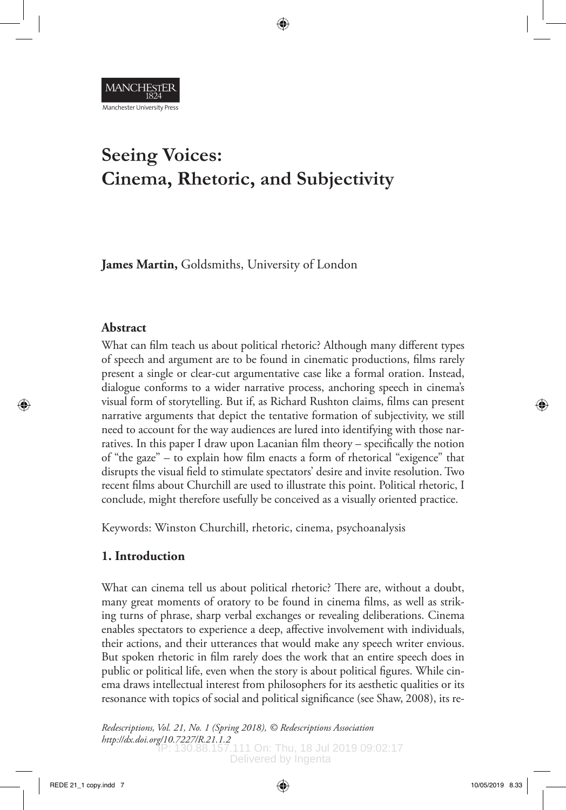

# **Seeing Voices: Cinema, Rhetoric, and Subjectivity**

**James Martin,** Goldsmiths, University of London

## **Abstract**

What can film teach us about political rhetoric? Although many different types of speech and argument are to be found in cinematic productions, films rarely present a single or clear-cut argumentative case like a formal oration. Instead, dialogue conforms to a wider narrative process, anchoring speech in cinema's visual form of storytelling. But if, as Richard Rushton claims, films can present narrative arguments that depict the tentative formation of subjectivity, we still need to account for the way audiences are lured into identifying with those narratives. In this paper I draw upon Lacanian film theory – specifically the notion of "the gaze" – to explain how film enacts a form of rhetorical "exigence" that disrupts the visual field to stimulate spectators' desire and invite resolution. Two recent films about Churchill are used to illustrate this point. Political rhetoric, I conclude, might therefore usefully be conceived as a visually oriented practice.

Keywords: Winston Churchill, rhetoric, cinema, psychoanalysis

# **1. Introduction**

What can cinema tell us about political rhetoric? There are, without a doubt, many great moments of oratory to be found in cinema films, as well as striking turns of phrase, sharp verbal exchanges or revealing deliberations. Cinema enables spectators to experience a deep, affective involvement with individuals, their actions, and their utterances that would make any speech writer envious. But spoken rhetoric in film rarely does the work that an entire speech does in public or political life, even when the story is about political figures. While cinema draws intellectual interest from philosophers for its aesthetic qualities or its resonance with topics of social and political significance (see Shaw, 2008), its re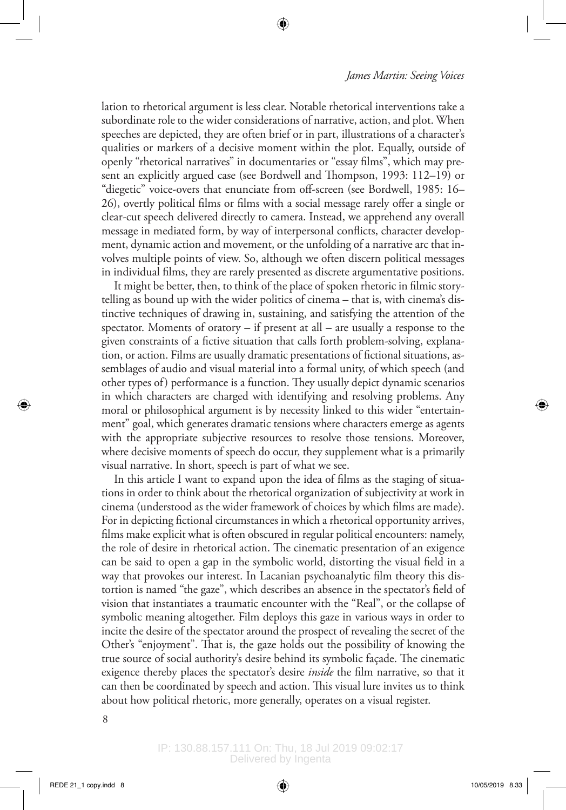lation to rhetorical argument is less clear. Notable rhetorical interventions take a subordinate role to the wider considerations of narrative, action, and plot. When speeches are depicted, they are often brief or in part, illustrations of a character's qualities or markers of a decisive moment within the plot. Equally, outside of openly "rhetorical narratives" in documentaries or "essay films", which may present an explicitly argued case (see Bordwell and Thompson, 1993: 112–19) or "diegetic" voice-overs that enunciate from off-screen (see Bordwell, 1985: 16– 26), overtly political films or films with a social message rarely offer a single or clear-cut speech delivered directly to camera. Instead, we apprehend any overall message in mediated form, by way of interpersonal conflicts, character development, dynamic action and movement, or the unfolding of a narrative arc that involves multiple points of view. So, although we often discern political messages in individual films, they are rarely presented as discrete argumentative positions.

It might be better, then, to think of the place of spoken rhetoric in filmic storytelling as bound up with the wider politics of cinema – that is, with cinema's distinctive techniques of drawing in, sustaining, and satisfying the attention of the spectator. Moments of oratory – if present at all – are usually a response to the given constraints of a fictive situation that calls forth problem-solving, explanation, or action. Films are usually dramatic presentations of fictional situations, assemblages of audio and visual material into a formal unity, of which speech (and other types of) performance is a function. They usually depict dynamic scenarios in which characters are charged with identifying and resolving problems. Any moral or philosophical argument is by necessity linked to this wider "entertainment" goal, which generates dramatic tensions where characters emerge as agents with the appropriate subjective resources to resolve those tensions. Moreover, where decisive moments of speech do occur, they supplement what is a primarily visual narrative. In short, speech is part of what we see.

In this article I want to expand upon the idea of films as the staging of situations in order to think about the rhetorical organization of subjectivity at work in cinema (understood as the wider framework of choices by which films are made). For in depicting fictional circumstances in which a rhetorical opportunity arrives, films make explicit what is often obscured in regular political encounters: namely, the role of desire in rhetorical action. The cinematic presentation of an exigence can be said to open a gap in the symbolic world, distorting the visual field in a way that provokes our interest. In Lacanian psychoanalytic film theory this distortion is named "the gaze", which describes an absence in the spectator's field of vision that instantiates a traumatic encounter with the "Real", or the collapse of symbolic meaning altogether. Film deploys this gaze in various ways in order to incite the desire of the spectator around the prospect of revealing the secret of the Other's "enjoyment". That is, the gaze holds out the possibility of knowing the true source of social authority's desire behind its symbolic façade. The cinematic exigence thereby places the spectator's desire *inside* the film narrative, so that it can then be coordinated by speech and action. This visual lure invites us to think about how political rhetoric, more generally, operates on a visual register.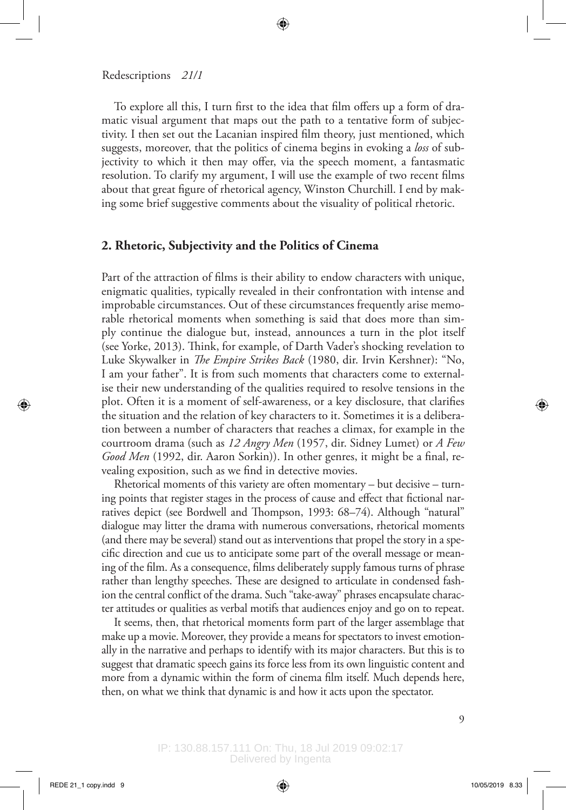To explore all this, I turn first to the idea that film offers up a form of dramatic visual argument that maps out the path to a tentative form of subjectivity. I then set out the Lacanian inspired film theory, just mentioned, which suggests, moreover, that the politics of cinema begins in evoking a *loss* of subjectivity to which it then may offer, via the speech moment, a fantasmatic resolution. To clarify my argument, I will use the example of two recent films about that great figure of rhetorical agency, Winston Churchill. I end by making some brief suggestive comments about the visuality of political rhetoric.

#### **2. Rhetoric, Subjectivity and the Politics of Cinema**

Part of the attraction of films is their ability to endow characters with unique, enigmatic qualities, typically revealed in their confrontation with intense and improbable circumstances. Out of these circumstances frequently arise memorable rhetorical moments when something is said that does more than simply continue the dialogue but, instead, announces a turn in the plot itself (see Yorke, 2013). Think, for example, of Darth Vader's shocking revelation to Luke Skywalker in *The Empire Strikes Back* (1980, dir. Irvin Kershner): "No, I am your father". It is from such moments that characters come to externalise their new understanding of the qualities required to resolve tensions in the plot. Often it is a moment of self-awareness, or a key disclosure, that clarifies the situation and the relation of key characters to it. Sometimes it is a deliberation between a number of characters that reaches a climax, for example in the courtroom drama (such as *12 Angry Men* (1957, dir. Sidney Lumet) or *A Few Good Men* (1992, dir. Aaron Sorkin)). In other genres, it might be a final, revealing exposition, such as we find in detective movies.

Rhetorical moments of this variety are often momentary – but decisive – turning points that register stages in the process of cause and effect that fictional narratives depict (see Bordwell and Thompson, 1993: 68–74). Although "natural" dialogue may litter the drama with numerous conversations, rhetorical moments (and there may be several) stand out as interventions that propel the story in a specific direction and cue us to anticipate some part of the overall message or meaning of the film. As a consequence, films deliberately supply famous turns of phrase rather than lengthy speeches. These are designed to articulate in condensed fashion the central conflict of the drama. Such "take-away" phrases encapsulate character attitudes or qualities as verbal motifs that audiences enjoy and go on to repeat.

It seems, then, that rhetorical moments form part of the larger assemblage that make up a movie. Moreover, they provide a means for spectators to invest emotionally in the narrative and perhaps to identify with its major characters. But this is to suggest that dramatic speech gains its force less from its own linguistic content and more from a dynamic within the form of cinema film itself. Much depends here, then, on what we think that dynamic is and how it acts upon the spectator.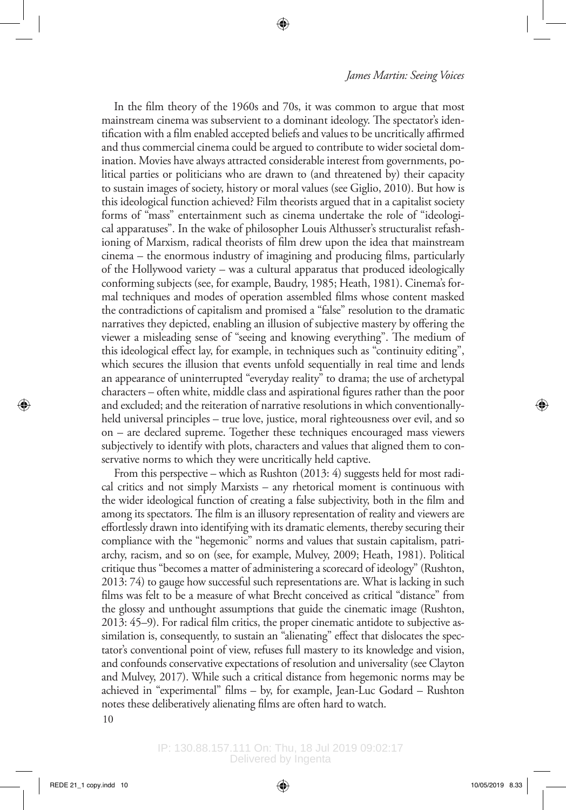In the film theory of the 1960s and 70s, it was common to argue that most mainstream cinema was subservient to a dominant ideology. The spectator's identification with a film enabled accepted beliefs and values to be uncritically affirmed and thus commercial cinema could be argued to contribute to wider societal domination. Movies have always attracted considerable interest from governments, political parties or politicians who are drawn to (and threatened by) their capacity to sustain images of society, history or moral values (see Giglio, 2010). But how is this ideological function achieved? Film theorists argued that in a capitalist society forms of "mass" entertainment such as cinema undertake the role of "ideological apparatuses". In the wake of philosopher Louis Althusser's structuralist refashioning of Marxism, radical theorists of film drew upon the idea that mainstream cinema – the enormous industry of imagining and producing films, particularly of the Hollywood variety – was a cultural apparatus that produced ideologically conforming subjects (see, for example, Baudry, 1985; Heath, 1981). Cinema's formal techniques and modes of operation assembled films whose content masked the contradictions of capitalism and promised a "false" resolution to the dramatic narratives they depicted, enabling an illusion of subjective mastery by offering the viewer a misleading sense of "seeing and knowing everything". The medium of this ideological effect lay, for example, in techniques such as "continuity editing", which secures the illusion that events unfold sequentially in real time and lends an appearance of uninterrupted "everyday reality" to drama; the use of archetypal characters – often white, middle class and aspirational figures rather than the poor and excluded; and the reiteration of narrative resolutions in which conventionallyheld universal principles – true love, justice, moral righteousness over evil, and so on – are declared supreme. Together these techniques encouraged mass viewers subjectively to identify with plots, characters and values that aligned them to conservative norms to which they were uncritically held captive.

10 From this perspective – which as Rushton (2013: 4) suggests held for most radical critics and not simply Marxists – any rhetorical moment is continuous with the wider ideological function of creating a false subjectivity, both in the film and among its spectators. The film is an illusory representation of reality and viewers are effortlessly drawn into identifying with its dramatic elements, thereby securing their compliance with the "hegemonic" norms and values that sustain capitalism, patriarchy, racism, and so on (see, for example, Mulvey, 2009; Heath, 1981). Political critique thus "becomes a matter of administering a scorecard of ideology" (Rushton, 2013: 74) to gauge how successful such representations are. What is lacking in such films was felt to be a measure of what Brecht conceived as critical "distance" from the glossy and unthought assumptions that guide the cinematic image (Rushton, 2013: 45–9). For radical film critics, the proper cinematic antidote to subjective assimilation is, consequently, to sustain an "alienating" effect that dislocates the spectator's conventional point of view, refuses full mastery to its knowledge and vision, and confounds conservative expectations of resolution and universality (see Clayton and Mulvey, 2017). While such a critical distance from hegemonic norms may be achieved in "experimental" films – by, for example, Jean-Luc Godard – Rushton notes these deliberatively alienating films are often hard to watch.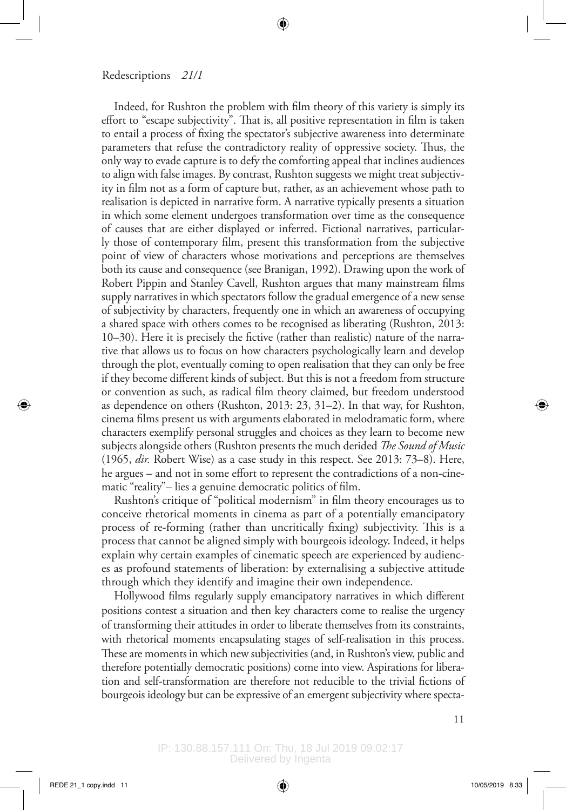Indeed, for Rushton the problem with film theory of this variety is simply its effort to "escape subjectivity". That is, all positive representation in film is taken to entail a process of fixing the spectator's subjective awareness into determinate parameters that refuse the contradictory reality of oppressive society. Thus, the only way to evade capture is to defy the comforting appeal that inclines audiences to align with false images. By contrast, Rushton suggests we might treat subjectivity in film not as a form of capture but, rather, as an achievement whose path to realisation is depicted in narrative form. A narrative typically presents a situation in which some element undergoes transformation over time as the consequence of causes that are either displayed or inferred. Fictional narratives, particularly those of contemporary film, present this transformation from the subjective point of view of characters whose motivations and perceptions are themselves both its cause and consequence (see Branigan, 1992). Drawing upon the work of Robert Pippin and Stanley Cavell, Rushton argues that many mainstream films supply narratives in which spectators follow the gradual emergence of a new sense of subjectivity by characters, frequently one in which an awareness of occupying a shared space with others comes to be recognised as liberating (Rushton, 2013: 10–30). Here it is precisely the fictive (rather than realistic) nature of the narrative that allows us to focus on how characters psychologically learn and develop through the plot, eventually coming to open realisation that they can only be free if they become different kinds of subject. But this is not a freedom from structure or convention as such, as radical film theory claimed, but freedom understood as dependence on others (Rushton, 2013: 23, 31–2). In that way, for Rushton, cinema films present us with arguments elaborated in melodramatic form, where characters exemplify personal struggles and choices as they learn to become new subjects alongside others (Rushton presents the much derided *The Sound of Music* (1965, *dir.* Robert Wise) as a case study in this respect. See 2013: 73–8). Here, he argues – and not in some effort to represent the contradictions of a non-cinematic "reality"– lies a genuine democratic politics of film.

Rushton's critique of "political modernism" in film theory encourages us to conceive rhetorical moments in cinema as part of a potentially emancipatory process of re-forming (rather than uncritically fixing) subjectivity. This is a process that cannot be aligned simply with bourgeois ideology. Indeed, it helps explain why certain examples of cinematic speech are experienced by audiences as profound statements of liberation: by externalising a subjective attitude through which they identify and imagine their own independence.

Hollywood films regularly supply emancipatory narratives in which different positions contest a situation and then key characters come to realise the urgency of transforming their attitudes in order to liberate themselves from its constraints, with rhetorical moments encapsulating stages of self-realisation in this process. These are moments in which new subjectivities (and, in Rushton's view, public and therefore potentially democratic positions) come into view. Aspirations for liberation and self-transformation are therefore not reducible to the trivial fictions of bourgeois ideology but can be expressive of an emergent subjectivity where specta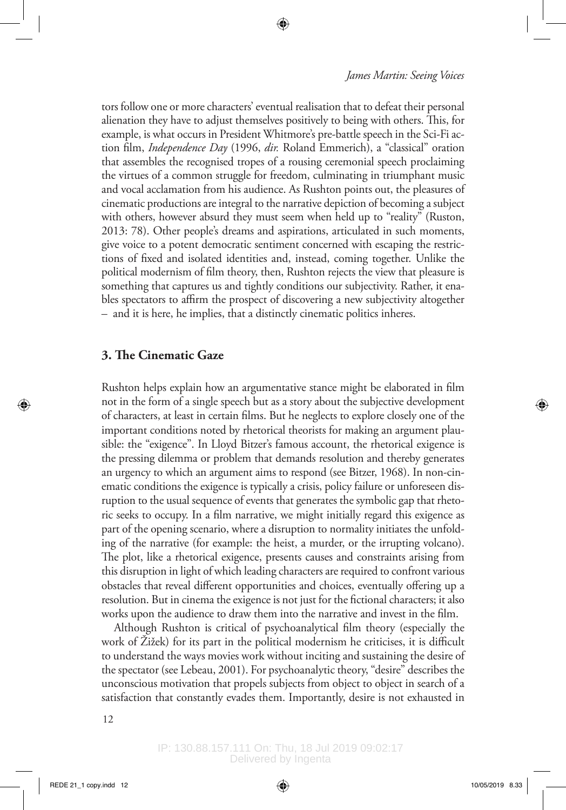tors follow one or more characters' eventual realisation that to defeat their personal alienation they have to adjust themselves positively to being with others. This, for example, is what occurs in President Whitmore's pre-battle speech in the Sci-Fi action film, *Independence Day* (1996, *dir.* Roland Emmerich), a "classical" oration that assembles the recognised tropes of a rousing ceremonial speech proclaiming the virtues of a common struggle for freedom, culminating in triumphant music and vocal acclamation from his audience. As Rushton points out, the pleasures of cinematic productions are integral to the narrative depiction of becoming a subject with others, however absurd they must seem when held up to "reality" (Ruston, 2013: 78). Other people's dreams and aspirations, articulated in such moments, give voice to a potent democratic sentiment concerned with escaping the restrictions of fixed and isolated identities and, instead, coming together. Unlike the political modernism of film theory, then, Rushton rejects the view that pleasure is something that captures us and tightly conditions our subjectivity. Rather, it enables spectators to affirm the prospect of discovering a new subjectivity altogether – and it is here, he implies, that a distinctly cinematic politics inheres.

#### **3. The Cinematic Gaze**

Rushton helps explain how an argumentative stance might be elaborated in film not in the form of a single speech but as a story about the subjective development of characters, at least in certain films. But he neglects to explore closely one of the important conditions noted by rhetorical theorists for making an argument plausible: the "exigence". In Lloyd Bitzer's famous account, the rhetorical exigence is the pressing dilemma or problem that demands resolution and thereby generates an urgency to which an argument aims to respond (see Bitzer, 1968). In non-cinematic conditions the exigence is typically a crisis, policy failure or unforeseen disruption to the usual sequence of events that generates the symbolic gap that rhetoric seeks to occupy. In a film narrative, we might initially regard this exigence as part of the opening scenario, where a disruption to normality initiates the unfolding of the narrative (for example: the heist, a murder, or the irrupting volcano). The plot, like a rhetorical exigence, presents causes and constraints arising from this disruption in light of which leading characters are required to confront various obstacles that reveal different opportunities and choices, eventually offering up a resolution. But in cinema the exigence is not just for the fictional characters; it also works upon the audience to draw them into the narrative and invest in the film.

Although Rushton is critical of psychoanalytical film theory (especially the work of Žižek) for its part in the political modernism he criticises, it is difficult to understand the ways movies work without inciting and sustaining the desire of the spectator (see Lebeau, 2001). For psychoanalytic theory, "desire" describes the unconscious motivation that propels subjects from object to object in search of a satisfaction that constantly evades them. Importantly, desire is not exhausted in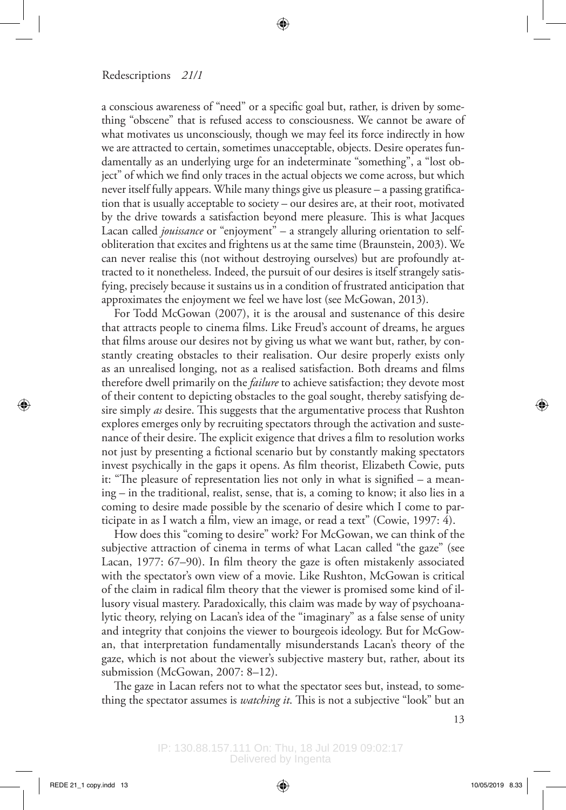a conscious awareness of "need" or a specific goal but, rather, is driven by something "obscene" that is refused access to consciousness. We cannot be aware of what motivates us unconsciously, though we may feel its force indirectly in how we are attracted to certain, sometimes unacceptable, objects. Desire operates fundamentally as an underlying urge for an indeterminate "something", a "lost object" of which we find only traces in the actual objects we come across, but which never itself fully appears. While many things give us pleasure – a passing gratification that is usually acceptable to society – our desires are, at their root, motivated by the drive towards a satisfaction beyond mere pleasure. This is what Jacques Lacan called *jouissance* or "enjoyment" – a strangely alluring orientation to selfobliteration that excites and frightens us at the same time (Braunstein, 2003). We can never realise this (not without destroying ourselves) but are profoundly attracted to it nonetheless. Indeed, the pursuit of our desires is itself strangely satisfying, precisely because it sustains us in a condition of frustrated anticipation that approximates the enjoyment we feel we have lost (see McGowan, 2013).

For Todd McGowan (2007), it is the arousal and sustenance of this desire that attracts people to cinema films. Like Freud's account of dreams, he argues that films arouse our desires not by giving us what we want but, rather, by constantly creating obstacles to their realisation. Our desire properly exists only as an unrealised longing, not as a realised satisfaction. Both dreams and films therefore dwell primarily on the *failure* to achieve satisfaction; they devote most of their content to depicting obstacles to the goal sought, thereby satisfying desire simply *as* desire. This suggests that the argumentative process that Rushton explores emerges only by recruiting spectators through the activation and sustenance of their desire. The explicit exigence that drives a film to resolution works not just by presenting a fictional scenario but by constantly making spectators invest psychically in the gaps it opens. As film theorist, Elizabeth Cowie, puts it: "The pleasure of representation lies not only in what is signified – a meaning – in the traditional, realist, sense, that is, a coming to know; it also lies in a coming to desire made possible by the scenario of desire which I come to participate in as I watch a film, view an image, or read a text" (Cowie, 1997: 4).

How does this "coming to desire" work? For McGowan, we can think of the subjective attraction of cinema in terms of what Lacan called "the gaze" (see Lacan, 1977: 67–90). In film theory the gaze is often mistakenly associated with the spectator's own view of a movie. Like Rushton, McGowan is critical of the claim in radical film theory that the viewer is promised some kind of illusory visual mastery. Paradoxically, this claim was made by way of psychoanalytic theory, relying on Lacan's idea of the "imaginary" as a false sense of unity and integrity that conjoins the viewer to bourgeois ideology. But for McGowan, that interpretation fundamentally misunderstands Lacan's theory of the gaze, which is not about the viewer's subjective mastery but, rather, about its submission (McGowan, 2007: 8–12).

The gaze in Lacan refers not to what the spectator sees but, instead, to something the spectator assumes is *watching it*. This is not a subjective "look" but an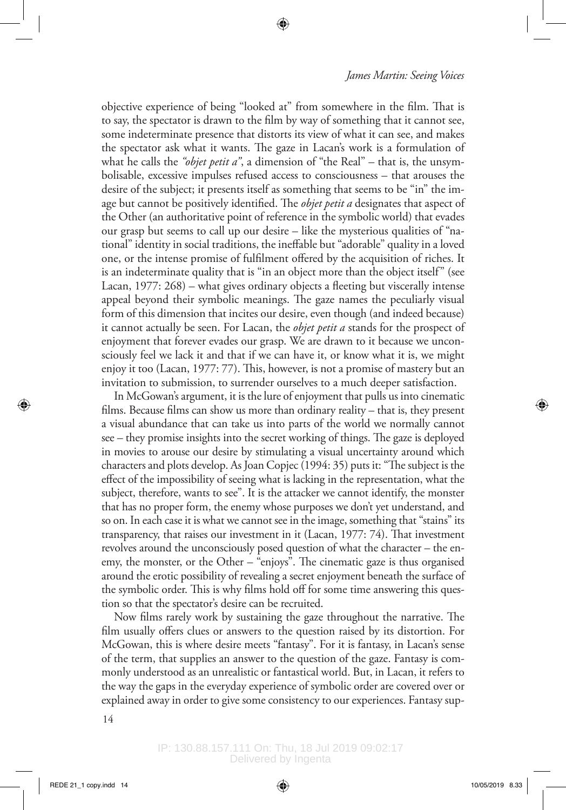objective experience of being "looked at" from somewhere in the film. That is to say, the spectator is drawn to the film by way of something that it cannot see, some indeterminate presence that distorts its view of what it can see, and makes the spectator ask what it wants. The gaze in Lacan's work is a formulation of what he calls the *"objet petit a"*, a dimension of "the Real" – that is, the unsymbolisable, excessive impulses refused access to consciousness – that arouses the desire of the subject; it presents itself as something that seems to be "in" the image but cannot be positively identified. The *objet petit a* designates that aspect of the Other (an authoritative point of reference in the symbolic world) that evades our grasp but seems to call up our desire – like the mysterious qualities of "national" identity in social traditions, the ineffable but "adorable" quality in a loved one, or the intense promise of fulfilment offered by the acquisition of riches. It is an indeterminate quality that is "in an object more than the object itself" (see Lacan, 1977: 268) – what gives ordinary objects a fleeting but viscerally intense appeal beyond their symbolic meanings. The gaze names the peculiarly visual form of this dimension that incites our desire, even though (and indeed because) it cannot actually be seen. For Lacan, the *objet petit a* stands for the prospect of enjoyment that forever evades our grasp. We are drawn to it because we unconsciously feel we lack it and that if we can have it, or know what it is, we might enjoy it too (Lacan, 1977: 77). This, however, is not a promise of mastery but an invitation to submission, to surrender ourselves to a much deeper satisfaction.

In McGowan's argument, it is the lure of enjoyment that pulls us into cinematic films. Because films can show us more than ordinary reality – that is, they present a visual abundance that can take us into parts of the world we normally cannot see – they promise insights into the secret working of things. The gaze is deployed in movies to arouse our desire by stimulating a visual uncertainty around which characters and plots develop. As Joan Copjec (1994: 35) puts it: "The subject is the effect of the impossibility of seeing what is lacking in the representation, what the subject, therefore, wants to see". It is the attacker we cannot identify, the monster that has no proper form, the enemy whose purposes we don't yet understand, and so on. In each case it is what we cannot see in the image, something that "stains" its transparency, that raises our investment in it (Lacan, 1977: 74). That investment revolves around the unconsciously posed question of what the character – the enemy, the monster, or the Other –  $\mathrm{``enjoys''}$ . The cinematic gaze is thus organised around the erotic possibility of revealing a secret enjoyment beneath the surface of the symbolic order. This is why films hold off for some time answering this question so that the spectator's desire can be recruited.

Now films rarely work by sustaining the gaze throughout the narrative. The film usually offers clues or answers to the question raised by its distortion. For McGowan, this is where desire meets "fantasy". For it is fantasy, in Lacan's sense of the term, that supplies an answer to the question of the gaze. Fantasy is commonly understood as an unrealistic or fantastical world. But, in Lacan, it refers to the way the gaps in the everyday experience of symbolic order are covered over or explained away in order to give some consistency to our experiences. Fantasy sup-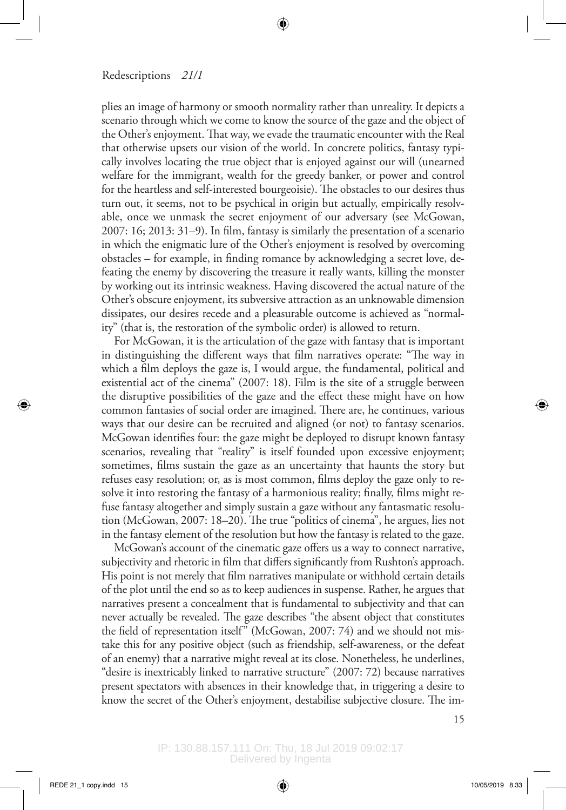plies an image of harmony or smooth normality rather than unreality. It depicts a scenario through which we come to know the source of the gaze and the object of the Other's enjoyment. That way, we evade the traumatic encounter with the Real that otherwise upsets our vision of the world. In concrete politics, fantasy typically involves locating the true object that is enjoyed against our will (unearned welfare for the immigrant, wealth for the greedy banker, or power and control for the heartless and self-interested bourgeoisie). The obstacles to our desires thus turn out, it seems, not to be psychical in origin but actually, empirically resolvable, once we unmask the secret enjoyment of our adversary (see McGowan, 2007: 16; 2013: 31–9). In film, fantasy is similarly the presentation of a scenario in which the enigmatic lure of the Other's enjoyment is resolved by overcoming obstacles – for example, in finding romance by acknowledging a secret love, defeating the enemy by discovering the treasure it really wants, killing the monster by working out its intrinsic weakness. Having discovered the actual nature of the Other's obscure enjoyment, its subversive attraction as an unknowable dimension dissipates, our desires recede and a pleasurable outcome is achieved as "normality" (that is, the restoration of the symbolic order) is allowed to return.

For McGowan, it is the articulation of the gaze with fantasy that is important in distinguishing the different ways that film narratives operate: "The way in which a film deploys the gaze is, I would argue, the fundamental, political and existential act of the cinema" (2007: 18). Film is the site of a struggle between the disruptive possibilities of the gaze and the effect these might have on how common fantasies of social order are imagined. There are, he continues, various ways that our desire can be recruited and aligned (or not) to fantasy scenarios. McGowan identifies four: the gaze might be deployed to disrupt known fantasy scenarios, revealing that "reality" is itself founded upon excessive enjoyment; sometimes, films sustain the gaze as an uncertainty that haunts the story but refuses easy resolution; or, as is most common, films deploy the gaze only to resolve it into restoring the fantasy of a harmonious reality; finally, films might refuse fantasy altogether and simply sustain a gaze without any fantasmatic resolution (McGowan, 2007: 18–20). The true "politics of cinema", he argues, lies not in the fantasy element of the resolution but how the fantasy is related to the gaze.

McGowan's account of the cinematic gaze offers us a way to connect narrative, subjectivity and rhetoric in film that differs significantly from Rushton's approach. His point is not merely that film narratives manipulate or withhold certain details of the plot until the end so as to keep audiences in suspense. Rather, he argues that narratives present a concealment that is fundamental to subjectivity and that can never actually be revealed. The gaze describes "the absent object that constitutes the field of representation itself" (McGowan, 2007: 74) and we should not mistake this for any positive object (such as friendship, self-awareness, or the defeat of an enemy) that a narrative might reveal at its close. Nonetheless, he underlines, "desire is inextricably linked to narrative structure" (2007: 72) because narratives present spectators with absences in their knowledge that, in triggering a desire to know the secret of the Other's enjoyment, destabilise subjective closure. The im-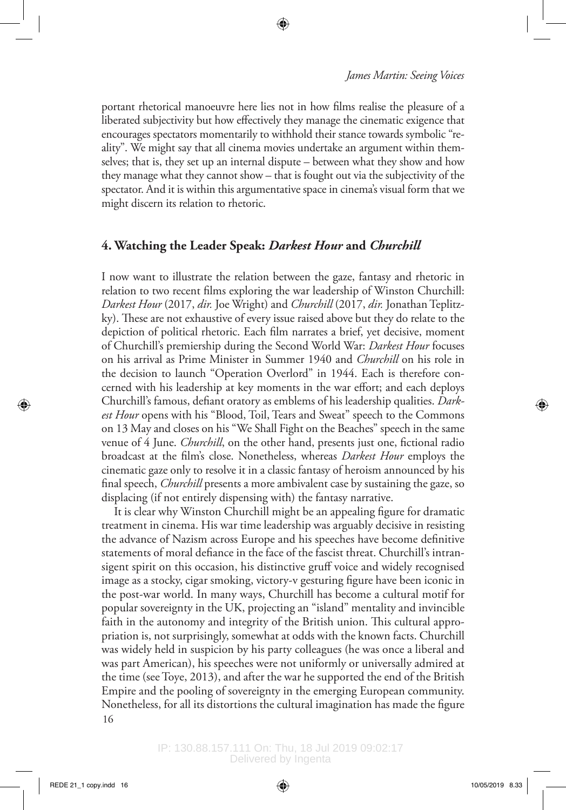portant rhetorical manoeuvre here lies not in how films realise the pleasure of a liberated subjectivity but how effectively they manage the cinematic exigence that encourages spectators momentarily to withhold their stance towards symbolic "reality". We might say that all cinema movies undertake an argument within themselves; that is, they set up an internal dispute – between what they show and how they manage what they cannot show – that is fought out via the subjectivity of the spectator. And it is within this argumentative space in cinema's visual form that we might discern its relation to rhetoric.

## **4. Watching the Leader Speak:** *Darkest Hour* **and** *Churchill*

I now want to illustrate the relation between the gaze, fantasy and rhetoric in relation to two recent films exploring the war leadership of Winston Churchill: *Darkest Hour* (2017, *dir.* Joe Wright) and *Churchill* (2017, *dir.* Jonathan Teplitzky). These are not exhaustive of every issue raised above but they do relate to the depiction of political rhetoric. Each film narrates a brief, yet decisive, moment of Churchill's premiership during the Second World War: *Darkest Hour* focuses on his arrival as Prime Minister in Summer 1940 and *Churchill* on his role in the decision to launch "Operation Overlord" in 1944. Each is therefore concerned with his leadership at key moments in the war effort; and each deploys Churchill's famous, defiant oratory as emblems of his leadership qualities. *Darkest Hour* opens with his "Blood, Toil, Tears and Sweat" speech to the Commons on 13 May and closes on his "We Shall Fight on the Beaches" speech in the same venue of 4 June. *Churchill*, on the other hand, presents just one, fictional radio broadcast at the film's close. Nonetheless, whereas *Darkest Hour* employs the cinematic gaze only to resolve it in a classic fantasy of heroism announced by his final speech, *Churchill* presents a more ambivalent case by sustaining the gaze, so displacing (if not entirely dispensing with) the fantasy narrative.

16 It is clear why Winston Churchill might be an appealing figure for dramatic treatment in cinema. His war time leadership was arguably decisive in resisting the advance of Nazism across Europe and his speeches have become definitive statements of moral defiance in the face of the fascist threat. Churchill's intransigent spirit on this occasion, his distinctive gruff voice and widely recognised image as a stocky, cigar smoking, victory-v gesturing figure have been iconic in the post-war world. In many ways, Churchill has become a cultural motif for popular sovereignty in the UK, projecting an "island" mentality and invincible faith in the autonomy and integrity of the British union. This cultural appropriation is, not surprisingly, somewhat at odds with the known facts. Churchill was widely held in suspicion by his party colleagues (he was once a liberal and was part American), his speeches were not uniformly or universally admired at the time (see Toye, 2013), and after the war he supported the end of the British Empire and the pooling of sovereignty in the emerging European community. Nonetheless, for all its distortions the cultural imagination has made the figure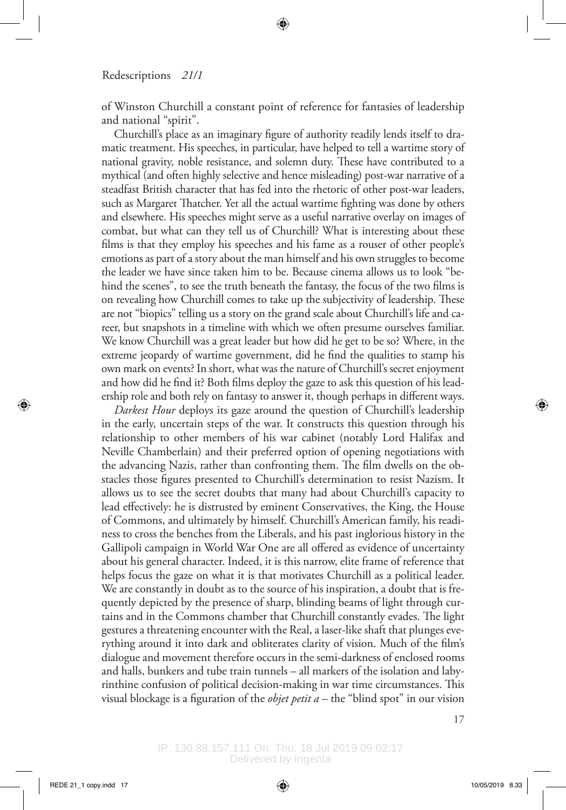of Winston Churchill a constant point of reference for fantasies of leadership and national "spirit".

Churchill's place as an imaginary figure of authority readily lends itself to dramatic treatment. His speeches, in particular, have helped to tell a wartime story of national gravity, noble resistance, and solemn duty. These have contributed to a mythical (and often highly selective and hence misleading) post-war narrative of a steadfast British character that has fed into the rhetoric of other post-war leaders, such as Margaret Thatcher. Yet all the actual wartime fighting was done by others and elsewhere. His speeches might serve as a useful narrative overlay on images of combat, but what can they tell us of Churchill? What is interesting about these films is that they employ his speeches and his fame as a rouser of other people's emotions as part of a story about the man himself and his own struggles to become the leader we have since taken him to be. Because cinema allows us to look "behind the scenes", to see the truth beneath the fantasy, the focus of the two films is on revealing how Churchill comes to take up the subjectivity of leadership. These are not "biopics" telling us a story on the grand scale about Churchill's life and career, but snapshots in a timeline with which we often presume ourselves familiar. We know Churchill was a great leader but how did he get to be so? Where, in the extreme jeopardy of wartime government, did he find the qualities to stamp his own mark on events? In short, what was the nature of Churchill's secret enjoyment and how did he find it? Both films deploy the gaze to ask this question of his leadership role and both rely on fantasy to answer it, though perhaps in different ways.

*Darkest Hour* deploys its gaze around the question of Churchill's leadership in the early, uncertain steps of the war. It constructs this question through his relationship to other members of his war cabinet (notably Lord Halifax and Neville Chamberlain) and their preferred option of opening negotiations with the advancing Nazis, rather than confronting them. The film dwells on the obstacles those figures presented to Churchill's determination to resist Nazism. It allows us to see the secret doubts that many had about Churchill's capacity to lead effectively: he is distrusted by eminent Conservatives, the King, the House of Commons, and ultimately by himself. Churchill's American family, his readiness to cross the benches from the Liberals, and his past inglorious history in the Gallipoli campaign in World War One are all offered as evidence of uncertainty about his general character. Indeed, it is this narrow, elite frame of reference that helps focus the gaze on what it is that motivates Churchill as a political leader. We are constantly in doubt as to the source of his inspiration, a doubt that is frequently depicted by the presence of sharp, blinding beams of light through curtains and in the Commons chamber that Churchill constantly evades. The light gestures a threatening encounter with the Real, a laser-like shaft that plunges everything around it into dark and obliterates clarity of vision. Much of the film's dialogue and movement therefore occurs in the semi-darkness of enclosed rooms and halls, bunkers and tube train tunnels – all markers of the isolation and labyrinthine confusion of political decision-making in war time circumstances. This visual blockage is a figuration of the *objet petit a* – the "blind spot" in our vision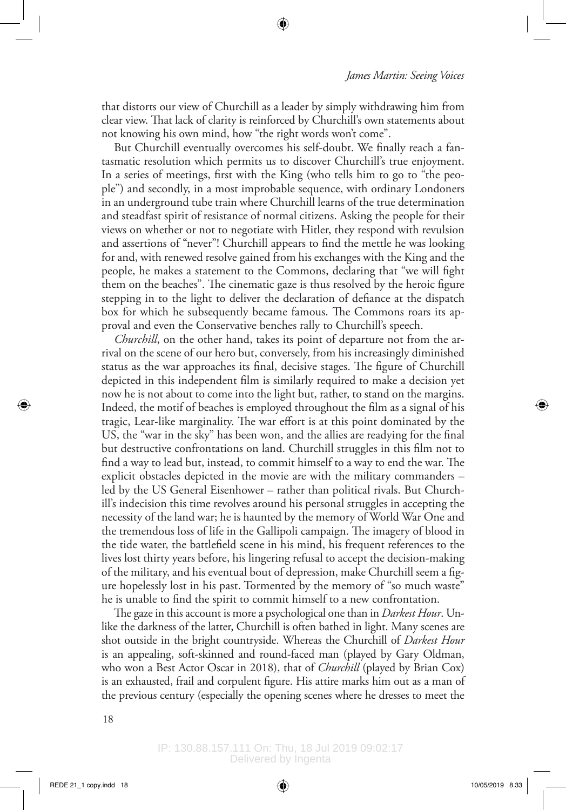that distorts our view of Churchill as a leader by simply withdrawing him from clear view. That lack of clarity is reinforced by Churchill's own statements about not knowing his own mind, how "the right words won't come".

But Churchill eventually overcomes his self-doubt. We finally reach a fantasmatic resolution which permits us to discover Churchill's true enjoyment. In a series of meetings, first with the King (who tells him to go to "the people") and secondly, in a most improbable sequence, with ordinary Londoners in an underground tube train where Churchill learns of the true determination and steadfast spirit of resistance of normal citizens. Asking the people for their views on whether or not to negotiate with Hitler, they respond with revulsion and assertions of "never"! Churchill appears to find the mettle he was looking for and, with renewed resolve gained from his exchanges with the King and the people, he makes a statement to the Commons, declaring that "we will fight them on the beaches". The cinematic gaze is thus resolved by the heroic figure stepping in to the light to deliver the declaration of defiance at the dispatch box for which he subsequently became famous. The Commons roars its approval and even the Conservative benches rally to Churchill's speech.

*Churchill*, on the other hand, takes its point of departure not from the arrival on the scene of our hero but, conversely, from his increasingly diminished status as the war approaches its final, decisive stages. The figure of Churchill depicted in this independent film is similarly required to make a decision yet now he is not about to come into the light but, rather, to stand on the margins. Indeed, the motif of beaches is employed throughout the film as a signal of his tragic, Lear-like marginality. The war effort is at this point dominated by the US, the "war in the sky" has been won, and the allies are readying for the final but destructive confrontations on land. Churchill struggles in this film not to find a way to lead but, instead, to commit himself to a way to end the war. The explicit obstacles depicted in the movie are with the military commanders – led by the US General Eisenhower – rather than political rivals. But Churchill's indecision this time revolves around his personal struggles in accepting the necessity of the land war; he is haunted by the memory of World War One and the tremendous loss of life in the Gallipoli campaign. The imagery of blood in the tide water, the battlefield scene in his mind, his frequent references to the lives lost thirty years before, his lingering refusal to accept the decision-making of the military, and his eventual bout of depression, make Churchill seem a figure hopelessly lost in his past. Tormented by the memory of "so much waste" he is unable to find the spirit to commit himself to a new confrontation.

The gaze in this account is more a psychological one than in *Darkest Hour*. Unlike the darkness of the latter, Churchill is often bathed in light. Many scenes are shot outside in the bright countryside. Whereas the Churchill of *Darkest Hour* is an appealing, soft-skinned and round-faced man (played by Gary Oldman, who won a Best Actor Oscar in 2018), that of *Churchill* (played by Brian Cox) is an exhausted, frail and corpulent figure. His attire marks him out as a man of the previous century (especially the opening scenes where he dresses to meet the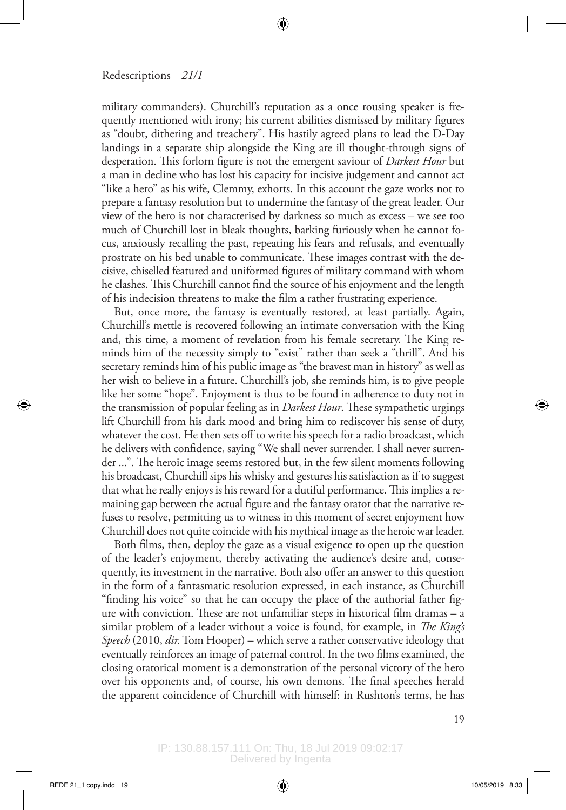military commanders). Churchill's reputation as a once rousing speaker is frequently mentioned with irony; his current abilities dismissed by military figures as "doubt, dithering and treachery". His hastily agreed plans to lead the D-Day landings in a separate ship alongside the King are ill thought-through signs of desperation. This forlorn figure is not the emergent saviour of *Darkest Hour* but a man in decline who has lost his capacity for incisive judgement and cannot act "like a hero" as his wife, Clemmy, exhorts. In this account the gaze works not to prepare a fantasy resolution but to undermine the fantasy of the great leader. Our view of the hero is not characterised by darkness so much as excess – we see too much of Churchill lost in bleak thoughts, barking furiously when he cannot focus, anxiously recalling the past, repeating his fears and refusals, and eventually prostrate on his bed unable to communicate. These images contrast with the decisive, chiselled featured and uniformed figures of military command with whom he clashes. This Churchill cannot find the source of his enjoyment and the length of his indecision threatens to make the film a rather frustrating experience.

But, once more, the fantasy is eventually restored, at least partially. Again, Churchill's mettle is recovered following an intimate conversation with the King and, this time, a moment of revelation from his female secretary. The King reminds him of the necessity simply to "exist" rather than seek a "thrill". And his secretary reminds him of his public image as "the bravest man in history" as well as her wish to believe in a future. Churchill's job, she reminds him, is to give people like her some "hope". Enjoyment is thus to be found in adherence to duty not in the transmission of popular feeling as in *Darkest Hour*. These sympathetic urgings lift Churchill from his dark mood and bring him to rediscover his sense of duty, whatever the cost. He then sets off to write his speech for a radio broadcast, which he delivers with confidence, saying "We shall never surrender. I shall never surrender ...". The heroic image seems restored but, in the few silent moments following his broadcast, Churchill sips his whisky and gestures his satisfaction as if to suggest that what he really enjoys is his reward for a dutiful performance. This implies a remaining gap between the actual figure and the fantasy orator that the narrative refuses to resolve, permitting us to witness in this moment of secret enjoyment how Churchill does not quite coincide with his mythical image as the heroic war leader.

Both films, then, deploy the gaze as a visual exigence to open up the question of the leader's enjoyment, thereby activating the audience's desire and, consequently, its investment in the narrative. Both also offer an answer to this question in the form of a fantasmatic resolution expressed, in each instance, as Churchill "finding his voice" so that he can occupy the place of the authorial father figure with conviction. These are not unfamiliar steps in historical film dramas – a similar problem of a leader without a voice is found, for example, in *The King's Speech* (2010, *dir.* Tom Hooper) – which serve a rather conservative ideology that eventually reinforces an image of paternal control. In the two films examined, the closing oratorical moment is a demonstration of the personal victory of the hero over his opponents and, of course, his own demons. The final speeches herald the apparent coincidence of Churchill with himself: in Rushton's terms, he has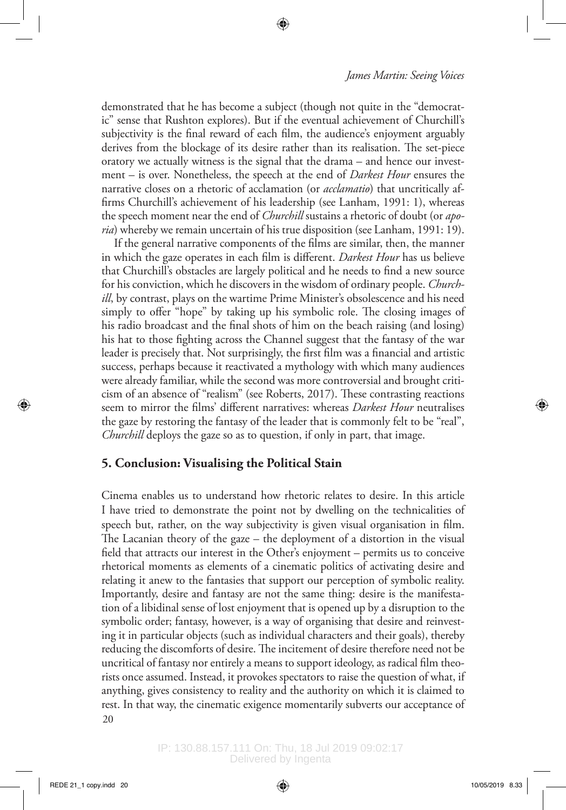demonstrated that he has become a subject (though not quite in the "democratic" sense that Rushton explores). But if the eventual achievement of Churchill's subjectivity is the final reward of each film, the audience's enjoyment arguably derives from the blockage of its desire rather than its realisation. The set-piece oratory we actually witness is the signal that the drama – and hence our investment – is over. Nonetheless, the speech at the end of *Darkest Hour* ensures the narrative closes on a rhetoric of acclamation (or *acclamatio*) that uncritically affirms Churchill's achievement of his leadership (see Lanham, 1991: 1), whereas the speech moment near the end of *Churchill* sustains a rhetoric of doubt (or *aporia*) whereby we remain uncertain of his true disposition (see Lanham, 1991: 19).

If the general narrative components of the films are similar, then, the manner in which the gaze operates in each film is different. *Darkest Hour* has us believe that Churchill's obstacles are largely political and he needs to find a new source for his conviction, which he discovers in the wisdom of ordinary people. *Churchill*, by contrast, plays on the wartime Prime Minister's obsolescence and his need simply to offer "hope" by taking up his symbolic role. The closing images of his radio broadcast and the final shots of him on the beach raising (and losing) his hat to those fighting across the Channel suggest that the fantasy of the war leader is precisely that. Not surprisingly, the first film was a financial and artistic success, perhaps because it reactivated a mythology with which many audiences were already familiar, while the second was more controversial and brought criticism of an absence of "realism" (see Roberts, 2017). These contrasting reactions seem to mirror the films' different narratives: whereas *Darkest Hour* neutralises the gaze by restoring the fantasy of the leader that is commonly felt to be "real", *Churchill* deploys the gaze so as to question, if only in part, that image.

# **5. Conclusion: Visualising the Political Stain**

20 Cinema enables us to understand how rhetoric relates to desire. In this article I have tried to demonstrate the point not by dwelling on the technicalities of speech but, rather, on the way subjectivity is given visual organisation in film. The Lacanian theory of the gaze – the deployment of a distortion in the visual field that attracts our interest in the Other's enjoyment – permits us to conceive rhetorical moments as elements of a cinematic politics of activating desire and relating it anew to the fantasies that support our perception of symbolic reality. Importantly, desire and fantasy are not the same thing: desire is the manifestation of a libidinal sense of lost enjoyment that is opened up by a disruption to the symbolic order; fantasy, however, is a way of organising that desire and reinvesting it in particular objects (such as individual characters and their goals), thereby reducing the discomforts of desire. The incitement of desire therefore need not be uncritical of fantasy nor entirely a means to support ideology, as radical film theorists once assumed. Instead, it provokes spectators to raise the question of what, if anything, gives consistency to reality and the authority on which it is claimed to rest. In that way, the cinematic exigence momentarily subverts our acceptance of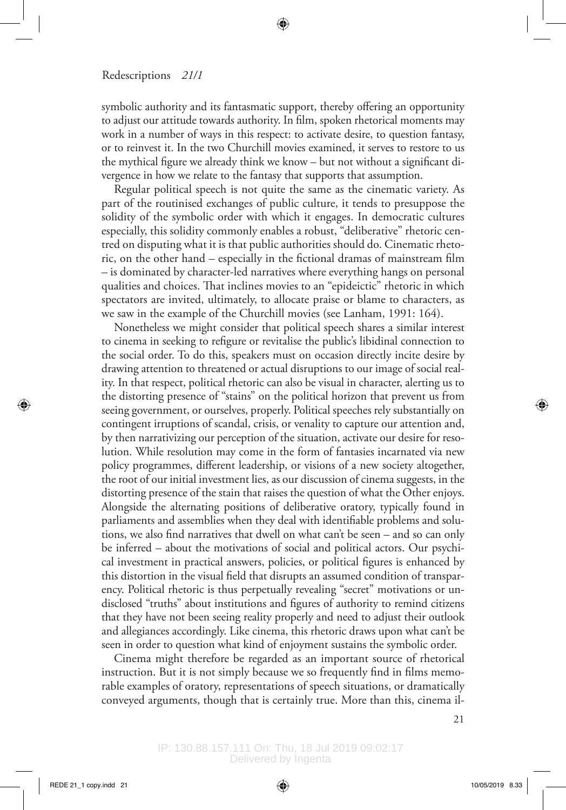symbolic authority and its fantasmatic support, thereby offering an opportunity to adjust our attitude towards authority. In film, spoken rhetorical moments may work in a number of ways in this respect: to activate desire, to question fantasy, or to reinvest it. In the two Churchill movies examined, it serves to restore to us the mythical figure we already think we know – but not without a significant divergence in how we relate to the fantasy that supports that assumption.

Regular political speech is not quite the same as the cinematic variety. As part of the routinised exchanges of public culture, it tends to presuppose the solidity of the symbolic order with which it engages. In democratic cultures especially, this solidity commonly enables a robust, "deliberative" rhetoric centred on disputing what it is that public authorities should do. Cinematic rhetoric, on the other hand – especially in the fictional dramas of mainstream film – is dominated by character-led narratives where everything hangs on personal qualities and choices. That inclines movies to an "epideictic" rhetoric in which spectators are invited, ultimately, to allocate praise or blame to characters, as we saw in the example of the Churchill movies (see Lanham, 1991: 164).

Nonetheless we might consider that political speech shares a similar interest to cinema in seeking to refigure or revitalise the public's libidinal connection to the social order. To do this, speakers must on occasion directly incite desire by drawing attention to threatened or actual disruptions to our image of social reality. In that respect, political rhetoric can also be visual in character, alerting us to the distorting presence of "stains" on the political horizon that prevent us from seeing government, or ourselves, properly. Political speeches rely substantially on contingent irruptions of scandal, crisis, or venality to capture our attention and, by then narrativizing our perception of the situation, activate our desire for resolution. While resolution may come in the form of fantasies incarnated via new policy programmes, different leadership, or visions of a new society altogether, the root of our initial investment lies, as our discussion of cinema suggests, in the distorting presence of the stain that raises the question of what the Other enjoys. Alongside the alternating positions of deliberative oratory, typically found in parliaments and assemblies when they deal with identifiable problems and solutions, we also find narratives that dwell on what can't be seen – and so can only be inferred – about the motivations of social and political actors. Our psychical investment in practical answers, policies, or political figures is enhanced by this distortion in the visual field that disrupts an assumed condition of transparency. Political rhetoric is thus perpetually revealing "secret" motivations or undisclosed "truths" about institutions and figures of authority to remind citizens that they have not been seeing reality properly and need to adjust their outlook and allegiances accordingly. Like cinema, this rhetoric draws upon what can't be seen in order to question what kind of enjoyment sustains the symbolic order.

Cinema might therefore be regarded as an important source of rhetorical instruction. But it is not simply because we so frequently find in films memorable examples of oratory, representations of speech situations, or dramatically conveyed arguments, though that is certainly true. More than this, cinema il